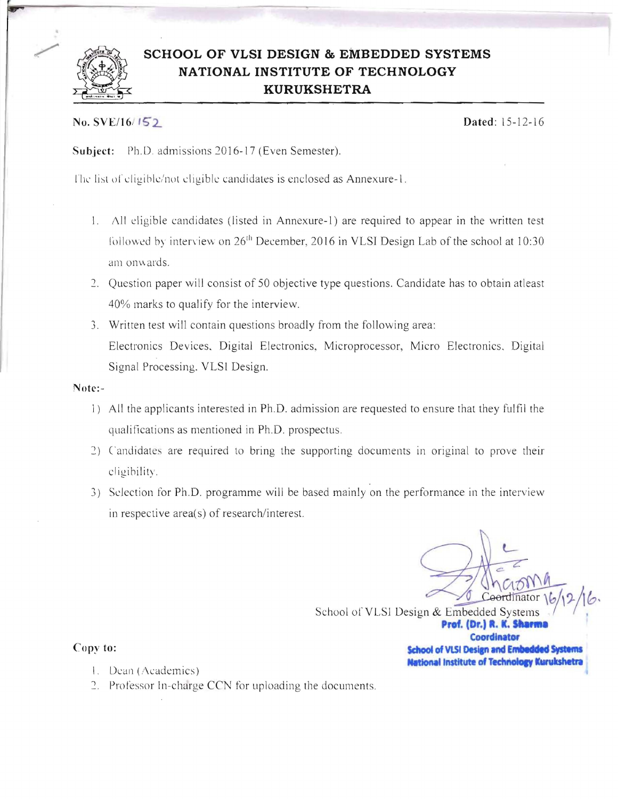

# **SCHOOL OF VLSI DESIGN & EMBEDDED SYSTEMS NATIONAL INSTITUTE OF TECHNOLOGY KURUKSHETRA**

## No. SVE/16/152. **Dated:** 15-12-16

Subject: Ph.D. admissions 2016-17 (Even Semester).

The list of eligible/not eligible candidates is enclosed as Annexure-1.

- 1. All eligible candidates (listed in Annexure-1) are required to appear in the written test followed by interview on  $26<sup>th</sup>$  December, 2016 in VLSI Design Lab of the school at 10:30 am onwards.
- 2. Question paper will consist of 50 objective type questions. Candidate has to obtain atleast 40% marks to qualify for the interview.
- 3. Written test will contain questions broadly from the following area: Electronics Devices. Digital Electronics, Microprocessor, Micro Electronics. Digital Signal Processing. VLSI Design.

Notc:

- 1) All the applicants interested in Ph.D. admission are requested to ensure that they fulfil the qualifications as mentioned in Ph.D. prospectus.
- 2) Candidates are required to bring the supporting documents in original to prove their eligibility.
- 3) Selection for Ph.D. programme will be based mainly on the performance in the interview in respective area(s) of research/interest.

 $C_1 \cap Y$ mator *\hl,?-* JIb, School of VLSI Design & Embedded Systems Prof. (Dr.) R. K. Sharma **Coordinator**  Copy to: **School of VLSI Design and Embedded Systems Mational Institute of Technology Kurukshetra** 

*c* 

- I. Dean (Academics)
- 2. Professor In-charge CCN for uploading the documents.